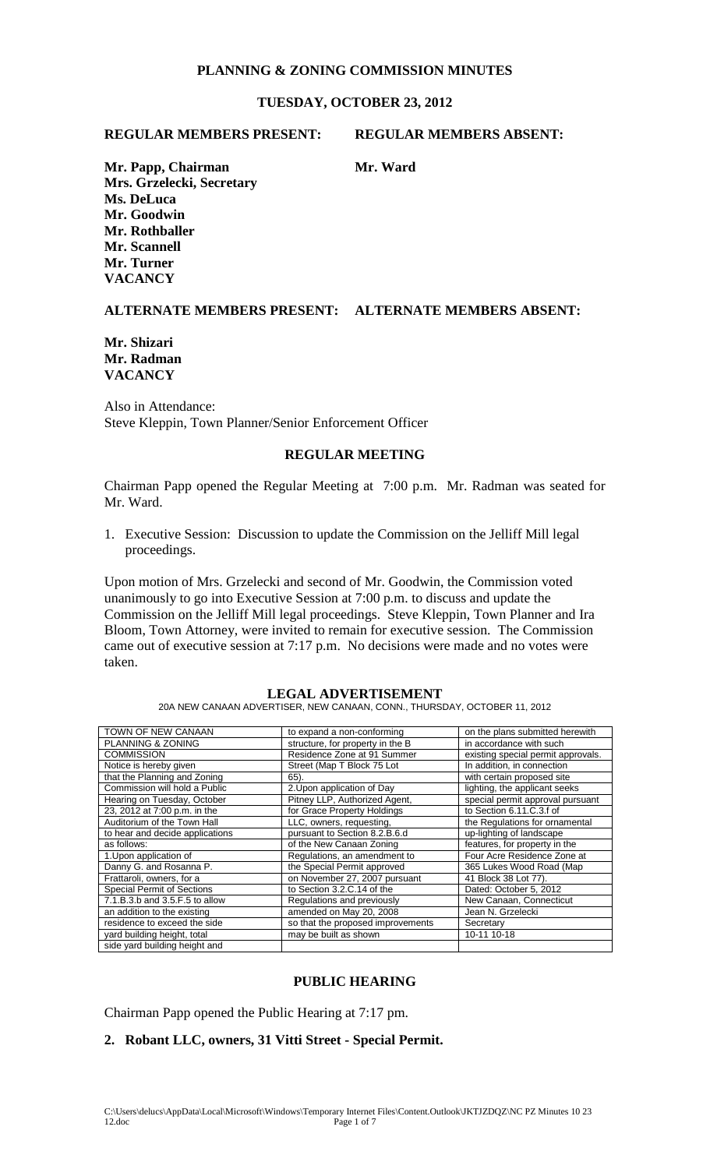# **PLANNING & ZONING COMMISSION MINUTES**

## **TUESDAY, OCTOBER 23, 2012**

### **REGULAR MEMBERS PRESENT: REGULAR MEMBERS ABSENT:**

**Mr. Papp, Chairman Mr. Ward Mr. Ward Mrs. Grzelecki, Secretary Ms. DeLuca Mr. Goodwin Mr. Rothballer Mr. Scannell Mr. Turner VACANCY** 

## **ALTERNATE MEMBERS PRESENT: ALTERNATE MEMBERS ABSENT:**

### **Mr. Shizari Mr. Radman VACANCY**

Also in Attendance: Steve Kleppin, Town Planner/Senior Enforcement Officer

### **REGULAR MEETING**

Chairman Papp opened the Regular Meeting at 7:00 p.m. Mr. Radman was seated for Mr. Ward.

1. Executive Session: Discussion to update the Commission on the Jelliff Mill legal proceedings.

Upon motion of Mrs. Grzelecki and second of Mr. Goodwin, the Commission voted unanimously to go into Executive Session at 7:00 p.m. to discuss and update the Commission on the Jelliff Mill legal proceedings. Steve Kleppin, Town Planner and Ira Bloom, Town Attorney, were invited to remain for executive session. The Commission came out of executive session at 7:17 p.m. No decisions were made and no votes were taken.

### **LEGAL ADVERTISEMENT**

20A NEW CANAAN ADVERTISER, NEW CANAAN, CONN., THURSDAY, OCTOBER 11, 2012

| TOWN OF NEW CANAAN                | to expand a non-conforming        | on the plans submitted herewith    |
|-----------------------------------|-----------------------------------|------------------------------------|
| PLANNING & ZONING                 | structure, for property in the B  | in accordance with such            |
| <b>COMMISSION</b>                 | Residence Zone at 91 Summer       | existing special permit approvals. |
| Notice is hereby given            | Street (Map T Block 75 Lot        | In addition, in connection         |
| that the Planning and Zoning      | 65).                              | with certain proposed site         |
| Commission will hold a Public     | 2. Upon application of Day        | lighting, the applicant seeks      |
| Hearing on Tuesday, October       | Pitney LLP, Authorized Agent,     | special permit approval pursuant   |
| 23, 2012 at 7:00 p.m. in the      | for Grace Property Holdings       | to Section 6.11.C.3.f of           |
| Auditorium of the Town Hall       | LLC, owners, requesting,          | the Regulations for ornamental     |
| to hear and decide applications   | pursuant to Section 8.2.B.6.d     | up-lighting of landscape           |
| as follows:                       | of the New Canaan Zoning          | features, for property in the      |
| 1. Upon application of            | Regulations, an amendment to      | Four Acre Residence Zone at        |
| Danny G. and Rosanna P.           | the Special Permit approved       | 365 Lukes Wood Road (Map           |
| Frattaroli, owners, for a         | on November 27, 2007 pursuant     | 41 Block 38 Lot 77).               |
| <b>Special Permit of Sections</b> | to Section 3.2.C.14 of the        | Dated: October 5, 2012             |
| 7.1.B.3.b and 3.5.F.5 to allow    | Regulations and previously        | New Canaan, Connecticut            |
| an addition to the existing       | amended on May 20, 2008           | Jean N. Grzelecki                  |
| residence to exceed the side      | so that the proposed improvements | Secretary                          |
| yard building height, total       | may be built as shown             | 10-11 10-18                        |
| side yard building height and     |                                   |                                    |

### **PUBLIC HEARING**

Chairman Papp opened the Public Hearing at 7:17 pm.

### **2. Robant LLC, owners, 31 Vitti Street - Special Permit.**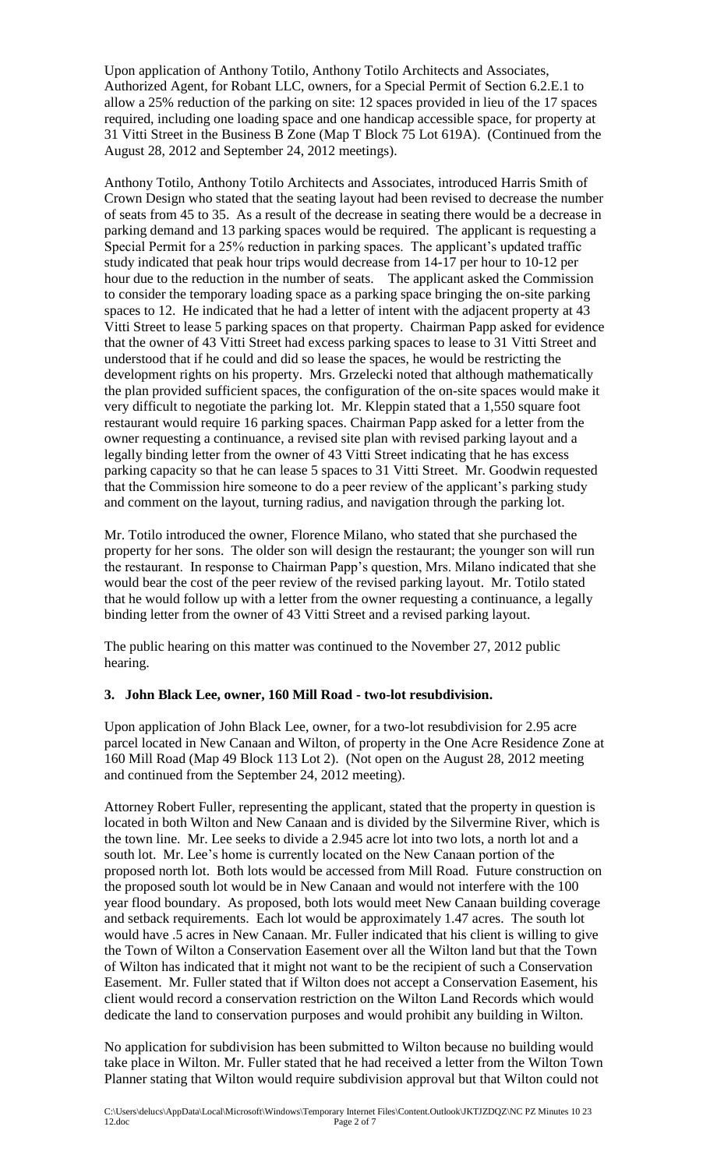Upon application of Anthony Totilo, Anthony Totilo Architects and Associates, Authorized Agent, for Robant LLC, owners, for a Special Permit of Section 6.2.E.1 to allow a 25% reduction of the parking on site: 12 spaces provided in lieu of the 17 spaces required, including one loading space and one handicap accessible space, for property at 31 Vitti Street in the Business B Zone (Map T Block 75 Lot 619A). (Continued from the August 28, 2012 and September 24, 2012 meetings).

Anthony Totilo, Anthony Totilo Architects and Associates, introduced Harris Smith of Crown Design who stated that the seating layout had been revised to decrease the number of seats from 45 to 35. As a result of the decrease in seating there would be a decrease in parking demand and 13 parking spaces would be required. The applicant is requesting a Special Permit for a 25% reduction in parking spaces. The applicant's updated traffic study indicated that peak hour trips would decrease from 14-17 per hour to 10-12 per hour due to the reduction in the number of seats. The applicant asked the Commission to consider the temporary loading space as a parking space bringing the on-site parking spaces to 12. He indicated that he had a letter of intent with the adjacent property at 43 Vitti Street to lease 5 parking spaces on that property. Chairman Papp asked for evidence that the owner of 43 Vitti Street had excess parking spaces to lease to 31 Vitti Street and understood that if he could and did so lease the spaces, he would be restricting the development rights on his property. Mrs. Grzelecki noted that although mathematically the plan provided sufficient spaces, the configuration of the on-site spaces would make it very difficult to negotiate the parking lot. Mr. Kleppin stated that a 1,550 square foot restaurant would require 16 parking spaces. Chairman Papp asked for a letter from the owner requesting a continuance, a revised site plan with revised parking layout and a legally binding letter from the owner of 43 Vitti Street indicating that he has excess parking capacity so that he can lease 5 spaces to 31 Vitti Street. Mr. Goodwin requested that the Commission hire someone to do a peer review of the applicant's parking study and comment on the layout, turning radius, and navigation through the parking lot.

Mr. Totilo introduced the owner, Florence Milano, who stated that she purchased the property for her sons. The older son will design the restaurant; the younger son will run the restaurant. In response to Chairman Papp's question, Mrs. Milano indicated that she would bear the cost of the peer review of the revised parking layout. Mr. Totilo stated that he would follow up with a letter from the owner requesting a continuance, a legally binding letter from the owner of 43 Vitti Street and a revised parking layout.

The public hearing on this matter was continued to the November 27, 2012 public hearing.

## **3. John Black Lee, owner, 160 Mill Road - two-lot resubdivision.**

Upon application of John Black Lee, owner, for a two-lot resubdivision for 2.95 acre parcel located in New Canaan and Wilton, of property in the One Acre Residence Zone at 160 Mill Road (Map 49 Block 113 Lot 2). (Not open on the August 28, 2012 meeting and continued from the September 24, 2012 meeting).

Attorney Robert Fuller, representing the applicant, stated that the property in question is located in both Wilton and New Canaan and is divided by the Silvermine River, which is the town line. Mr. Lee seeks to divide a 2.945 acre lot into two lots, a north lot and a south lot. Mr. Lee's home is currently located on the New Canaan portion of the proposed north lot. Both lots would be accessed from Mill Road. Future construction on the proposed south lot would be in New Canaan and would not interfere with the 100 year flood boundary. As proposed, both lots would meet New Canaan building coverage and setback requirements. Each lot would be approximately 1.47 acres. The south lot would have .5 acres in New Canaan. Mr. Fuller indicated that his client is willing to give the Town of Wilton a Conservation Easement over all the Wilton land but that the Town of Wilton has indicated that it might not want to be the recipient of such a Conservation Easement. Mr. Fuller stated that if Wilton does not accept a Conservation Easement, his client would record a conservation restriction on the Wilton Land Records which would dedicate the land to conservation purposes and would prohibit any building in Wilton.

No application for subdivision has been submitted to Wilton because no building would take place in Wilton. Mr. Fuller stated that he had received a letter from the Wilton Town Planner stating that Wilton would require subdivision approval but that Wilton could not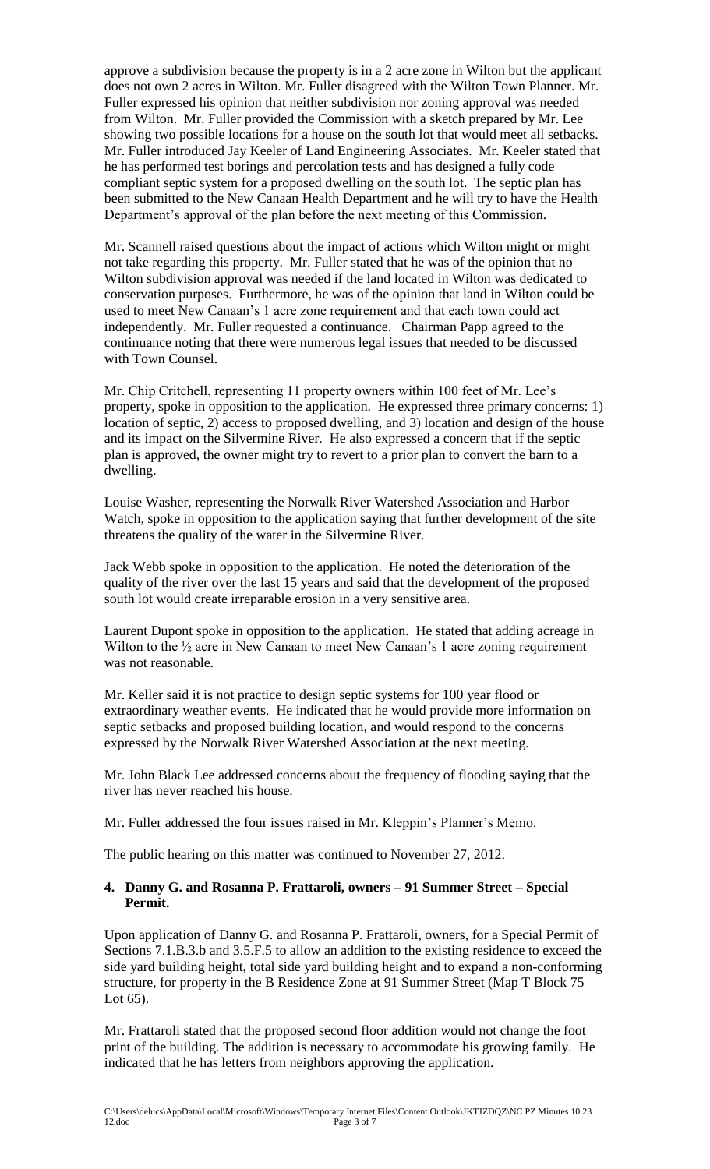approve a subdivision because the property is in a 2 acre zone in Wilton but the applicant does not own 2 acres in Wilton. Mr. Fuller disagreed with the Wilton Town Planner. Mr. Fuller expressed his opinion that neither subdivision nor zoning approval was needed from Wilton. Mr. Fuller provided the Commission with a sketch prepared by Mr. Lee showing two possible locations for a house on the south lot that would meet all setbacks. Mr. Fuller introduced Jay Keeler of Land Engineering Associates. Mr. Keeler stated that he has performed test borings and percolation tests and has designed a fully code compliant septic system for a proposed dwelling on the south lot. The septic plan has been submitted to the New Canaan Health Department and he will try to have the Health Department's approval of the plan before the next meeting of this Commission.

Mr. Scannell raised questions about the impact of actions which Wilton might or might not take regarding this property. Mr. Fuller stated that he was of the opinion that no Wilton subdivision approval was needed if the land located in Wilton was dedicated to conservation purposes. Furthermore, he was of the opinion that land in Wilton could be used to meet New Canaan's 1 acre zone requirement and that each town could act independently. Mr. Fuller requested a continuance. Chairman Papp agreed to the continuance noting that there were numerous legal issues that needed to be discussed with Town Counsel.

Mr. Chip Critchell, representing 11 property owners within 100 feet of Mr. Lee's property, spoke in opposition to the application. He expressed three primary concerns: 1) location of septic, 2) access to proposed dwelling, and 3) location and design of the house and its impact on the Silvermine River. He also expressed a concern that if the septic plan is approved, the owner might try to revert to a prior plan to convert the barn to a dwelling.

Louise Washer, representing the Norwalk River Watershed Association and Harbor Watch, spoke in opposition to the application saying that further development of the site threatens the quality of the water in the Silvermine River.

Jack Webb spoke in opposition to the application. He noted the deterioration of the quality of the river over the last 15 years and said that the development of the proposed south lot would create irreparable erosion in a very sensitive area.

Laurent Dupont spoke in opposition to the application. He stated that adding acreage in Wilton to the  $\frac{1}{2}$  acre in New Canaan to meet New Canaan's 1 acre zoning requirement was not reasonable.

Mr. Keller said it is not practice to design septic systems for 100 year flood or extraordinary weather events. He indicated that he would provide more information on septic setbacks and proposed building location, and would respond to the concerns expressed by the Norwalk River Watershed Association at the next meeting.

Mr. John Black Lee addressed concerns about the frequency of flooding saying that the river has never reached his house.

Mr. Fuller addressed the four issues raised in Mr. Kleppin's Planner's Memo.

The public hearing on this matter was continued to November 27, 2012.

## **4. Danny G. and Rosanna P. Frattaroli, owners – 91 Summer Street – Special Permit.**

Upon application of Danny G. and Rosanna P. Frattaroli, owners, for a Special Permit of Sections 7.1.B.3.b and 3.5.F.5 to allow an addition to the existing residence to exceed the side yard building height, total side yard building height and to expand a non-conforming structure, for property in the B Residence Zone at 91 Summer Street (Map T Block 75 Lot 65).

Mr. Frattaroli stated that the proposed second floor addition would not change the foot print of the building. The addition is necessary to accommodate his growing family. He indicated that he has letters from neighbors approving the application.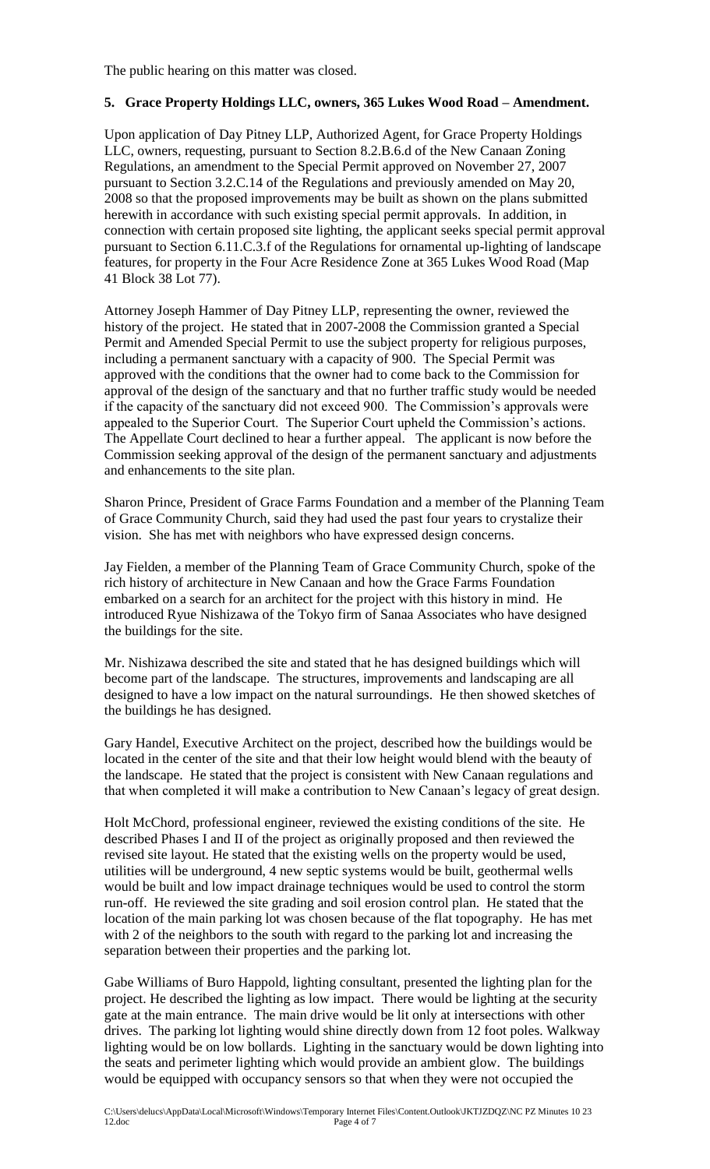# **5. Grace Property Holdings LLC, owners, 365 Lukes Wood Road – Amendment.**

Upon application of Day Pitney LLP, Authorized Agent, for Grace Property Holdings LLC, owners, requesting, pursuant to Section 8.2.B.6.d of the New Canaan Zoning Regulations, an amendment to the Special Permit approved on November 27, 2007 pursuant to Section 3.2.C.14 of the Regulations and previously amended on May 20, 2008 so that the proposed improvements may be built as shown on the plans submitted herewith in accordance with such existing special permit approvals. In addition, in connection with certain proposed site lighting, the applicant seeks special permit approval pursuant to Section 6.11.C.3.f of the Regulations for ornamental up-lighting of landscape features, for property in the Four Acre Residence Zone at 365 Lukes Wood Road (Map 41 Block 38 Lot 77).

Attorney Joseph Hammer of Day Pitney LLP, representing the owner, reviewed the history of the project. He stated that in 2007-2008 the Commission granted a Special Permit and Amended Special Permit to use the subject property for religious purposes, including a permanent sanctuary with a capacity of 900. The Special Permit was approved with the conditions that the owner had to come back to the Commission for approval of the design of the sanctuary and that no further traffic study would be needed if the capacity of the sanctuary did not exceed 900. The Commission's approvals were appealed to the Superior Court. The Superior Court upheld the Commission's actions. The Appellate Court declined to hear a further appeal. The applicant is now before the Commission seeking approval of the design of the permanent sanctuary and adjustments and enhancements to the site plan.

Sharon Prince, President of Grace Farms Foundation and a member of the Planning Team of Grace Community Church, said they had used the past four years to crystalize their vision. She has met with neighbors who have expressed design concerns.

Jay Fielden, a member of the Planning Team of Grace Community Church, spoke of the rich history of architecture in New Canaan and how the Grace Farms Foundation embarked on a search for an architect for the project with this history in mind. He introduced Ryue Nishizawa of the Tokyo firm of Sanaa Associates who have designed the buildings for the site.

Mr. Nishizawa described the site and stated that he has designed buildings which will become part of the landscape. The structures, improvements and landscaping are all designed to have a low impact on the natural surroundings. He then showed sketches of the buildings he has designed.

Gary Handel, Executive Architect on the project, described how the buildings would be located in the center of the site and that their low height would blend with the beauty of the landscape. He stated that the project is consistent with New Canaan regulations and that when completed it will make a contribution to New Canaan's legacy of great design.

Holt McChord, professional engineer, reviewed the existing conditions of the site. He described Phases I and II of the project as originally proposed and then reviewed the revised site layout. He stated that the existing wells on the property would be used, utilities will be underground, 4 new septic systems would be built, geothermal wells would be built and low impact drainage techniques would be used to control the storm run-off. He reviewed the site grading and soil erosion control plan. He stated that the location of the main parking lot was chosen because of the flat topography. He has met with 2 of the neighbors to the south with regard to the parking lot and increasing the separation between their properties and the parking lot.

Gabe Williams of Buro Happold, lighting consultant, presented the lighting plan for the project. He described the lighting as low impact. There would be lighting at the security gate at the main entrance. The main drive would be lit only at intersections with other drives. The parking lot lighting would shine directly down from 12 foot poles. Walkway lighting would be on low bollards. Lighting in the sanctuary would be down lighting into the seats and perimeter lighting which would provide an ambient glow. The buildings would be equipped with occupancy sensors so that when they were not occupied the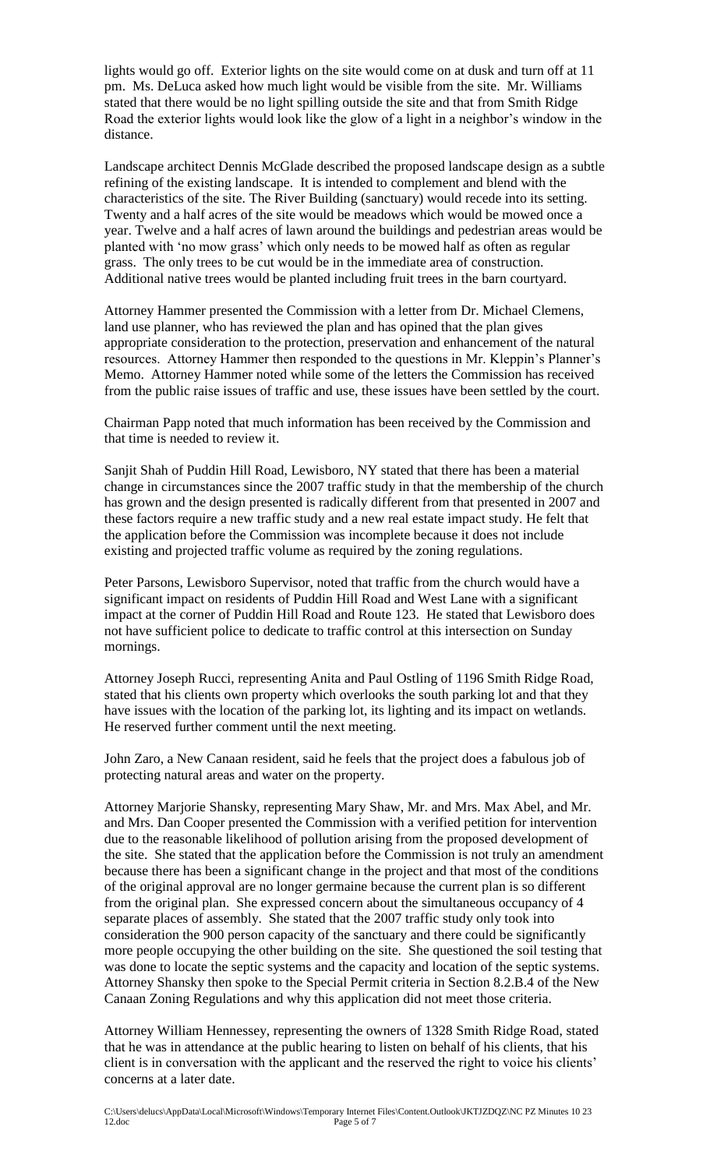lights would go off. Exterior lights on the site would come on at dusk and turn off at 11 pm. Ms. DeLuca asked how much light would be visible from the site. Mr. Williams stated that there would be no light spilling outside the site and that from Smith Ridge Road the exterior lights would look like the glow of a light in a neighbor's window in the distance.

Landscape architect Dennis McGlade described the proposed landscape design as a subtle refining of the existing landscape. It is intended to complement and blend with the characteristics of the site. The River Building (sanctuary) would recede into its setting. Twenty and a half acres of the site would be meadows which would be mowed once a year. Twelve and a half acres of lawn around the buildings and pedestrian areas would be planted with 'no mow grass' which only needs to be mowed half as often as regular grass. The only trees to be cut would be in the immediate area of construction. Additional native trees would be planted including fruit trees in the barn courtyard.

Attorney Hammer presented the Commission with a letter from Dr. Michael Clemens, land use planner, who has reviewed the plan and has opined that the plan gives appropriate consideration to the protection, preservation and enhancement of the natural resources. Attorney Hammer then responded to the questions in Mr. Kleppin's Planner's Memo. Attorney Hammer noted while some of the letters the Commission has received from the public raise issues of traffic and use, these issues have been settled by the court.

Chairman Papp noted that much information has been received by the Commission and that time is needed to review it.

Sanjit Shah of Puddin Hill Road, Lewisboro, NY stated that there has been a material change in circumstances since the 2007 traffic study in that the membership of the church has grown and the design presented is radically different from that presented in 2007 and these factors require a new traffic study and a new real estate impact study. He felt that the application before the Commission was incomplete because it does not include existing and projected traffic volume as required by the zoning regulations.

Peter Parsons, Lewisboro Supervisor, noted that traffic from the church would have a significant impact on residents of Puddin Hill Road and West Lane with a significant impact at the corner of Puddin Hill Road and Route 123. He stated that Lewisboro does not have sufficient police to dedicate to traffic control at this intersection on Sunday mornings.

Attorney Joseph Rucci, representing Anita and Paul Ostling of 1196 Smith Ridge Road, stated that his clients own property which overlooks the south parking lot and that they have issues with the location of the parking lot, its lighting and its impact on wetlands. He reserved further comment until the next meeting.

John Zaro, a New Canaan resident, said he feels that the project does a fabulous job of protecting natural areas and water on the property.

Attorney Marjorie Shansky, representing Mary Shaw, Mr. and Mrs. Max Abel, and Mr. and Mrs. Dan Cooper presented the Commission with a verified petition for intervention due to the reasonable likelihood of pollution arising from the proposed development of the site. She stated that the application before the Commission is not truly an amendment because there has been a significant change in the project and that most of the conditions of the original approval are no longer germaine because the current plan is so different from the original plan. She expressed concern about the simultaneous occupancy of 4 separate places of assembly. She stated that the 2007 traffic study only took into consideration the 900 person capacity of the sanctuary and there could be significantly more people occupying the other building on the site. She questioned the soil testing that was done to locate the septic systems and the capacity and location of the septic systems. Attorney Shansky then spoke to the Special Permit criteria in Section 8.2.B.4 of the New Canaan Zoning Regulations and why this application did not meet those criteria.

Attorney William Hennessey, representing the owners of 1328 Smith Ridge Road, stated that he was in attendance at the public hearing to listen on behalf of his clients, that his client is in conversation with the applicant and the reserved the right to voice his clients' concerns at a later date.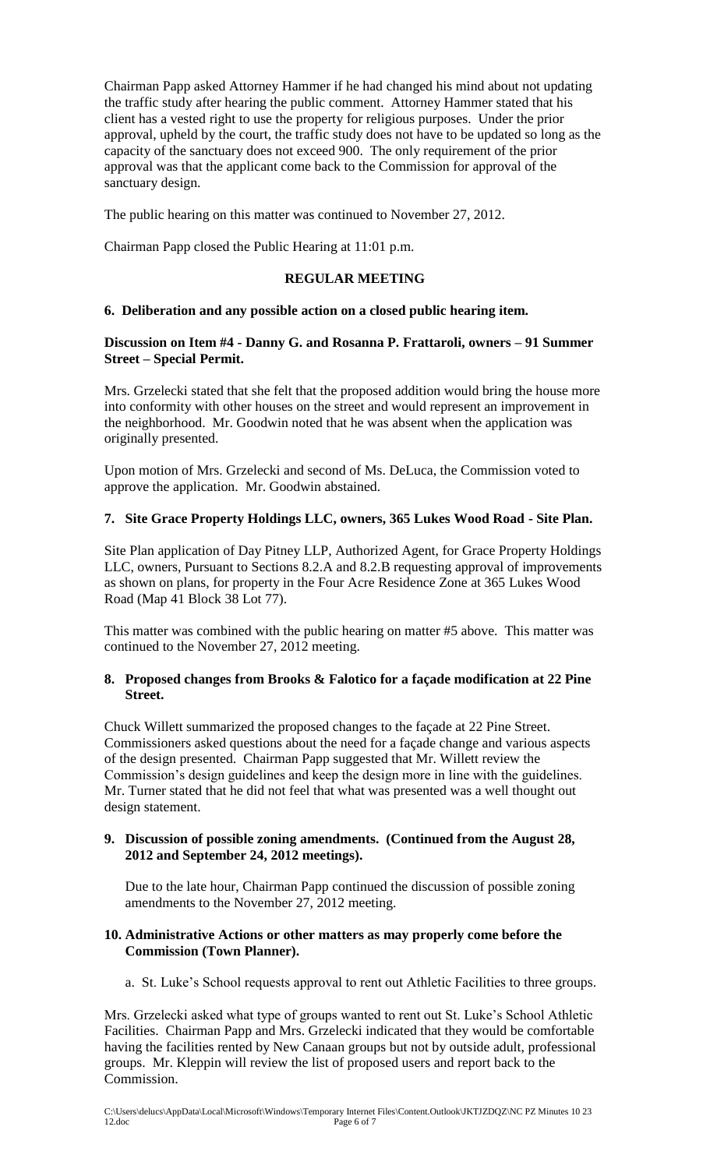Chairman Papp asked Attorney Hammer if he had changed his mind about not updating the traffic study after hearing the public comment. Attorney Hammer stated that his client has a vested right to use the property for religious purposes. Under the prior approval, upheld by the court, the traffic study does not have to be updated so long as the capacity of the sanctuary does not exceed 900. The only requirement of the prior approval was that the applicant come back to the Commission for approval of the sanctuary design.

The public hearing on this matter was continued to November 27, 2012.

Chairman Papp closed the Public Hearing at 11:01 p.m.

# **REGULAR MEETING**

# **6. Deliberation and any possible action on a closed public hearing item.**

## **Discussion on Item #4 - Danny G. and Rosanna P. Frattaroli, owners – 91 Summer Street – Special Permit.**

Mrs. Grzelecki stated that she felt that the proposed addition would bring the house more into conformity with other houses on the street and would represent an improvement in the neighborhood. Mr. Goodwin noted that he was absent when the application was originally presented.

Upon motion of Mrs. Grzelecki and second of Ms. DeLuca, the Commission voted to approve the application. Mr. Goodwin abstained.

# **7. Site Grace Property Holdings LLC, owners, 365 Lukes Wood Road - Site Plan.**

Site Plan application of Day Pitney LLP, Authorized Agent, for Grace Property Holdings LLC, owners, Pursuant to Sections 8.2.A and 8.2.B requesting approval of improvements as shown on plans, for property in the Four Acre Residence Zone at 365 Lukes Wood Road (Map 41 Block 38 Lot 77).

This matter was combined with the public hearing on matter #5 above. This matter was continued to the November 27, 2012 meeting.

## **8. Proposed changes from Brooks & Falotico for a façade modification at 22 Pine Street.**

Chuck Willett summarized the proposed changes to the façade at 22 Pine Street. Commissioners asked questions about the need for a façade change and various aspects of the design presented. Chairman Papp suggested that Mr. Willett review the Commission's design guidelines and keep the design more in line with the guidelines. Mr. Turner stated that he did not feel that what was presented was a well thought out design statement.

## **9. Discussion of possible zoning amendments. (Continued from the August 28, 2012 and September 24, 2012 meetings).**

 Due to the late hour, Chairman Papp continued the discussion of possible zoning amendments to the November 27, 2012 meeting.

## **10. Administrative Actions or other matters as may properly come before the Commission (Town Planner).**

a. St. Luke's School requests approval to rent out Athletic Facilities to three groups.

Mrs. Grzelecki asked what type of groups wanted to rent out St. Luke's School Athletic Facilities. Chairman Papp and Mrs. Grzelecki indicated that they would be comfortable having the facilities rented by New Canaan groups but not by outside adult, professional groups. Mr. Kleppin will review the list of proposed users and report back to the Commission.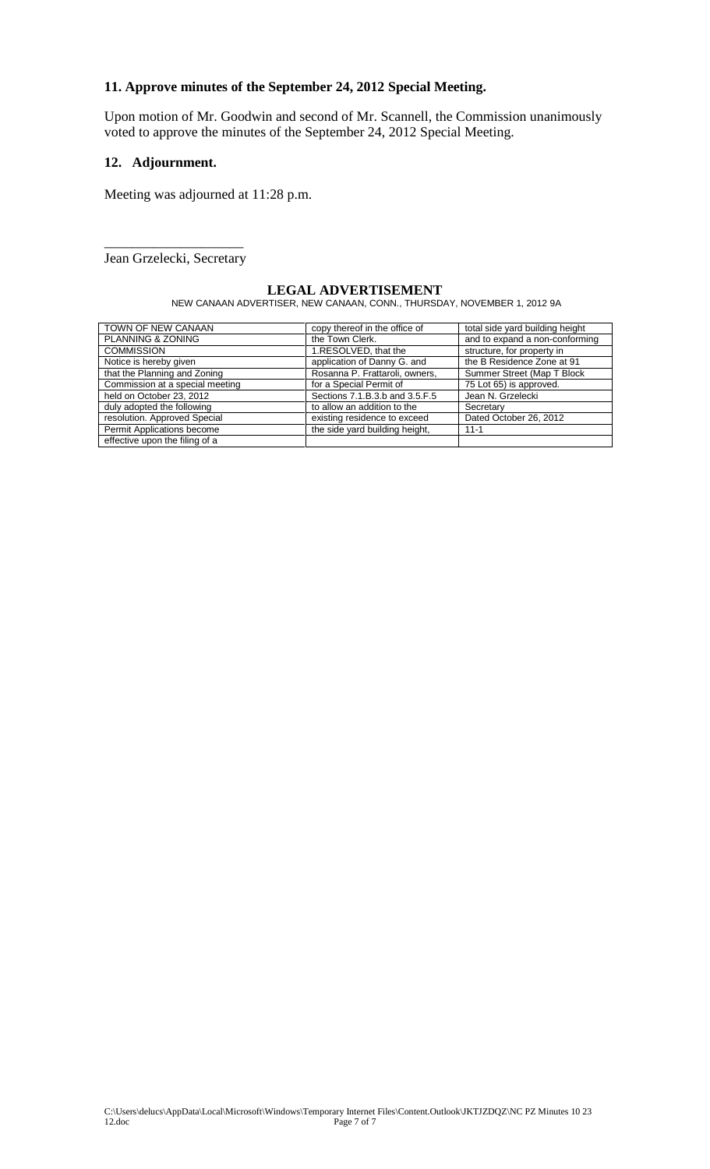# **11. Approve minutes of the September 24, 2012 Special Meeting.**

Upon motion of Mr. Goodwin and second of Mr. Scannell, the Commission unanimously voted to approve the minutes of the September 24, 2012 Special Meeting.

## **12. Adjournment.**

Meeting was adjourned at 11:28 p.m.

\_\_\_\_\_\_\_\_\_\_\_\_\_\_\_\_\_\_\_\_ Jean Grzelecki, Secretary

### **LEGAL ADVERTISEMENT** NEW CANAAN ADVERTISER, NEW CANAAN, CONN., THURSDAY, NOVEMBER 1, 2012 9A

| TOWN OF NEW CANAAN              | copy thereof in the office of  | total side yard building height |
|---------------------------------|--------------------------------|---------------------------------|
| PLANNING & ZONING               | the Town Clerk.                | and to expand a non-conforming  |
| <b>COMMISSION</b>               | 1.RESOLVED, that the           | structure, for property in      |
| Notice is hereby given          | application of Danny G. and    | the B Residence Zone at 91      |
| that the Planning and Zoning    | Rosanna P. Frattaroli, owners, | Summer Street (Map T Block      |
| Commission at a special meeting | for a Special Permit of        | 75 Lot 65) is approved.         |
| held on October 23, 2012        | Sections 7.1.B.3.b and 3.5.F.5 | Jean N. Grzelecki               |
| duly adopted the following      | to allow an addition to the    | Secretary                       |
| resolution. Approved Special    | existing residence to exceed   | Dated October 26, 2012          |
| Permit Applications become      | the side yard building height, | $11 - 1$                        |
| effective upon the filing of a  |                                |                                 |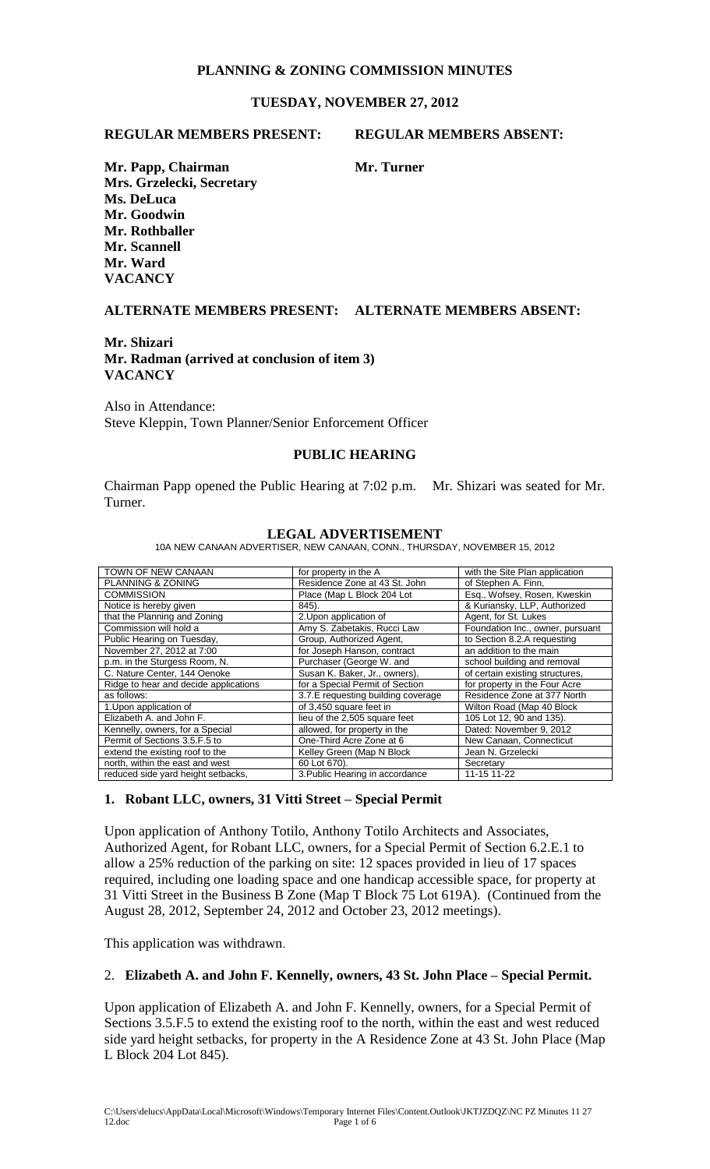# **PLANNING & ZONING COMMISSION MINUTES**

# **TUESDAY, NOVEMBER 27, 2012**

### **REGULAR MEMBERS PRESENT: REGULAR MEMBERS ABSENT:**

**Mr. Papp, Chairman Mr. Turner Mrs. Grzelecki, Secretary Ms. DeLuca Mr. Goodwin Mr. Rothballer Mr. Scannell Mr. Ward VACANCY** 

## **ALTERNATE MEMBERS PRESENT: ALTERNATE MEMBERS ABSENT:**

### **Mr. Shizari Mr. Radman (arrived at conclusion of item 3) VACANCY**

Also in Attendance: Steve Kleppin, Town Planner/Senior Enforcement Officer

### **PUBLIC HEARING**

Chairman Papp opened the Public Hearing at 7:02 p.m. Mr. Shizari was seated for Mr. Turner.

| TOWN OF NEW CANAAN                    | for property in the A              | with the Site Plan application   |
|---------------------------------------|------------------------------------|----------------------------------|
| <b>PLANNING &amp; ZONING</b>          | Residence Zone at 43 St. John      | of Stephen A. Finn,              |
| <b>COMMISSION</b>                     | Place (Map L Block 204 Lot         | Esg., Wofsey, Rosen, Kweskin     |
| Notice is hereby given                | 845).                              | & Kuriansky, LLP, Authorized     |
| that the Planning and Zoning          | 2. Upon application of             | Agent, for St. Lukes             |
| Commission will hold a                | Amy S. Zabetakis, Rucci Law        | Foundation Inc., owner, pursuant |
| Public Hearing on Tuesday,            | Group, Authorized Agent,           | to Section 8.2.A requesting      |
| November 27, 2012 at 7:00             | for Joseph Hanson, contract        | an addition to the main          |
| p.m. in the Sturgess Room, N.         | Purchaser (George W. and           | school building and removal      |
| C. Nature Center, 144 Oenoke          | Susan K. Baker, Jr., owners),      | of certain existing structures,  |
| Ridge to hear and decide applications | for a Special Permit of Section    | for property in the Four Acre    |
| as follows:                           | 3.7.E requesting building coverage | Residence Zone at 377 North      |
| 1. Upon application of                | of 3,450 square feet in            | Wilton Road (Map 40 Block        |
| Elizabeth A. and John F.              | lieu of the 2,505 square feet      | 105 Lot 12, 90 and 135).         |
| Kennelly, owners, for a Special       | allowed, for property in the       | Dated: November 9, 2012          |
| Permit of Sections 3.5.F.5 to         | One-Third Acre Zone at 6           | New Canaan, Connecticut          |
| extend the existing roof to the       | Kelley Green (Map N Block          | Jean N. Grzelecki                |
| north, within the east and west       | 60 Lot 670).                       | Secretary                        |
| reduced side yard height setbacks,    | 3. Public Hearing in accordance    | 11-15 11-22                      |

### **LEGAL ADVERTISEMENT**

10A NEW CANAAN ADVERTISER, NEW CANAAN, CONN., THURSDAY, NOVEMBER 15, 2012

### **1. Robant LLC, owners, 31 Vitti Street – Special Permit**

Upon application of Anthony Totilo, Anthony Totilo Architects and Associates, Authorized Agent, for Robant LLC, owners, for a Special Permit of Section 6.2.E.1 to allow a 25% reduction of the parking on site: 12 spaces provided in lieu of 17 spaces required, including one loading space and one handicap accessible space, for property at 31 Vitti Street in the Business B Zone (Map T Block 75 Lot 619A). (Continued from the August 28, 2012, September 24, 2012 and October 23, 2012 meetings).

This application was withdrawn.

### 2. **Elizabeth A. and John F. Kennelly, owners, 43 St. John Place – Special Permit.**

Upon application of Elizabeth A. and John F. Kennelly, owners, for a Special Permit of Sections 3.5.F.5 to extend the existing roof to the north, within the east and west reduced side yard height setbacks, for property in the A Residence Zone at 43 St. John Place (Map L Block 204 Lot 845).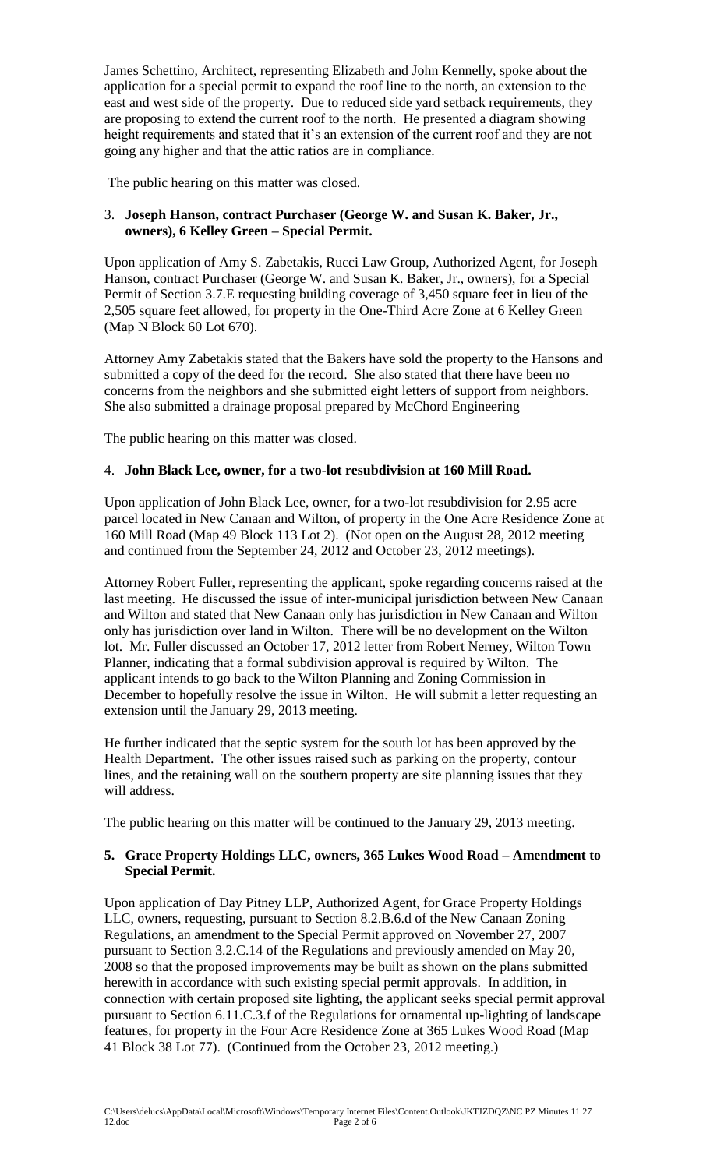James Schettino, Architect, representing Elizabeth and John Kennelly, spoke about the application for a special permit to expand the roof line to the north, an extension to the east and west side of the property. Due to reduced side yard setback requirements, they are proposing to extend the current roof to the north. He presented a diagram showing height requirements and stated that it's an extension of the current roof and they are not going any higher and that the attic ratios are in compliance.

The public hearing on this matter was closed.

# 3. **Joseph Hanson, contract Purchaser (George W. and Susan K. Baker, Jr., owners), 6 Kelley Green – Special Permit.**

Upon application of Amy S. Zabetakis, Rucci Law Group, Authorized Agent, for Joseph Hanson, contract Purchaser (George W. and Susan K. Baker, Jr., owners), for a Special Permit of Section 3.7.E requesting building coverage of 3,450 square feet in lieu of the 2,505 square feet allowed, for property in the One-Third Acre Zone at 6 Kelley Green (Map N Block 60 Lot 670).

Attorney Amy Zabetakis stated that the Bakers have sold the property to the Hansons and submitted a copy of the deed for the record. She also stated that there have been no concerns from the neighbors and she submitted eight letters of support from neighbors. She also submitted a drainage proposal prepared by McChord Engineering

The public hearing on this matter was closed.

### 4. **John Black Lee, owner, for a two-lot resubdivision at 160 Mill Road.**

Upon application of John Black Lee, owner, for a two-lot resubdivision for 2.95 acre parcel located in New Canaan and Wilton, of property in the One Acre Residence Zone at 160 Mill Road (Map 49 Block 113 Lot 2). (Not open on the August 28, 2012 meeting and continued from the September 24, 2012 and October 23, 2012 meetings).

Attorney Robert Fuller, representing the applicant, spoke regarding concerns raised at the last meeting. He discussed the issue of inter-municipal jurisdiction between New Canaan and Wilton and stated that New Canaan only has jurisdiction in New Canaan and Wilton only has jurisdiction over land in Wilton. There will be no development on the Wilton lot. Mr. Fuller discussed an October 17, 2012 letter from Robert Nerney, Wilton Town Planner, indicating that a formal subdivision approval is required by Wilton. The applicant intends to go back to the Wilton Planning and Zoning Commission in December to hopefully resolve the issue in Wilton. He will submit a letter requesting an extension until the January 29, 2013 meeting.

He further indicated that the septic system for the south lot has been approved by the Health Department. The other issues raised such as parking on the property, contour lines, and the retaining wall on the southern property are site planning issues that they will address.

The public hearing on this matter will be continued to the January 29, 2013 meeting.

## **5. Grace Property Holdings LLC, owners, 365 Lukes Wood Road – Amendment to Special Permit.**

Upon application of Day Pitney LLP, Authorized Agent, for Grace Property Holdings LLC, owners, requesting, pursuant to Section 8.2.B.6.d of the New Canaan Zoning Regulations, an amendment to the Special Permit approved on November 27, 2007 pursuant to Section 3.2.C.14 of the Regulations and previously amended on May 20, 2008 so that the proposed improvements may be built as shown on the plans submitted herewith in accordance with such existing special permit approvals. In addition, in connection with certain proposed site lighting, the applicant seeks special permit approval pursuant to Section 6.11.C.3.f of the Regulations for ornamental up-lighting of landscape features, for property in the Four Acre Residence Zone at 365 Lukes Wood Road (Map 41 Block 38 Lot 77). (Continued from the October 23, 2012 meeting.)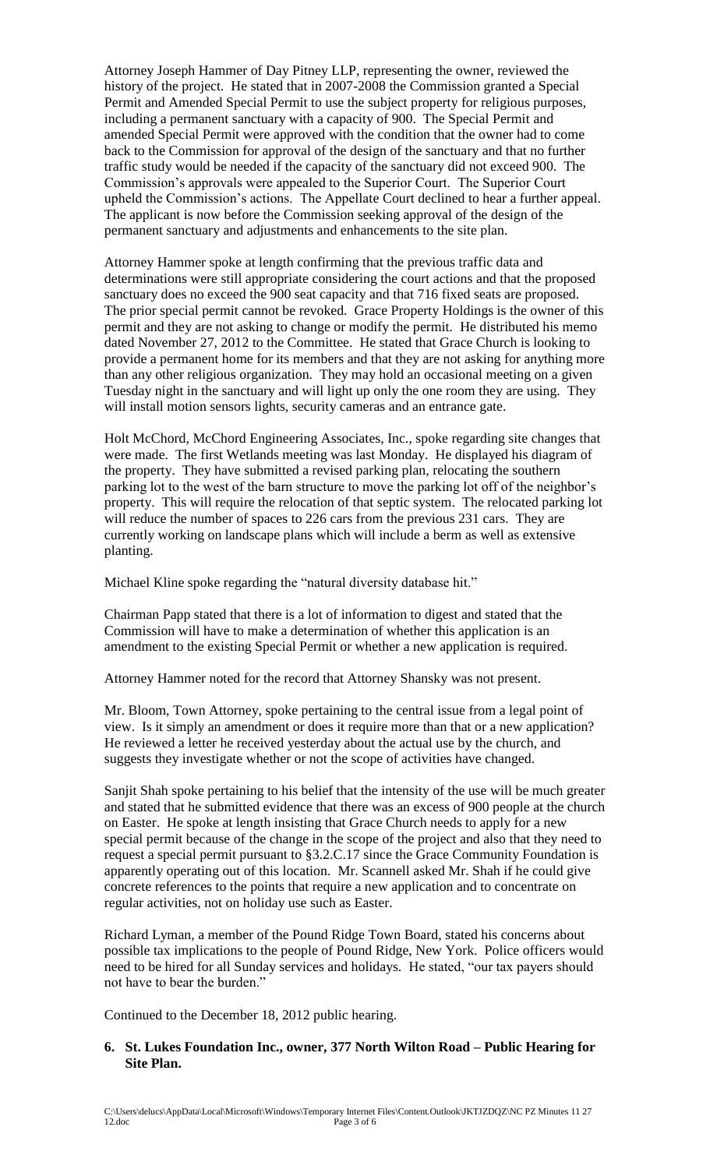Attorney Joseph Hammer of Day Pitney LLP, representing the owner, reviewed the history of the project. He stated that in 2007-2008 the Commission granted a Special Permit and Amended Special Permit to use the subject property for religious purposes, including a permanent sanctuary with a capacity of 900. The Special Permit and amended Special Permit were approved with the condition that the owner had to come back to the Commission for approval of the design of the sanctuary and that no further traffic study would be needed if the capacity of the sanctuary did not exceed 900. The Commission's approvals were appealed to the Superior Court. The Superior Court upheld the Commission's actions. The Appellate Court declined to hear a further appeal. The applicant is now before the Commission seeking approval of the design of the permanent sanctuary and adjustments and enhancements to the site plan.

Attorney Hammer spoke at length confirming that the previous traffic data and determinations were still appropriate considering the court actions and that the proposed sanctuary does no exceed the 900 seat capacity and that 716 fixed seats are proposed. The prior special permit cannot be revoked. Grace Property Holdings is the owner of this permit and they are not asking to change or modify the permit. He distributed his memo dated November 27, 2012 to the Committee. He stated that Grace Church is looking to provide a permanent home for its members and that they are not asking for anything more than any other religious organization. They may hold an occasional meeting on a given Tuesday night in the sanctuary and will light up only the one room they are using. They will install motion sensors lights, security cameras and an entrance gate.

Holt McChord, McChord Engineering Associates, Inc., spoke regarding site changes that were made. The first Wetlands meeting was last Monday. He displayed his diagram of the property. They have submitted a revised parking plan, relocating the southern parking lot to the west of the barn structure to move the parking lot off of the neighbor's property. This will require the relocation of that septic system. The relocated parking lot will reduce the number of spaces to 226 cars from the previous 231 cars. They are currently working on landscape plans which will include a berm as well as extensive planting.

Michael Kline spoke regarding the "natural diversity database hit."

Chairman Papp stated that there is a lot of information to digest and stated that the Commission will have to make a determination of whether this application is an amendment to the existing Special Permit or whether a new application is required.

Attorney Hammer noted for the record that Attorney Shansky was not present.

Mr. Bloom, Town Attorney, spoke pertaining to the central issue from a legal point of view. Is it simply an amendment or does it require more than that or a new application? He reviewed a letter he received yesterday about the actual use by the church, and suggests they investigate whether or not the scope of activities have changed.

Sanjit Shah spoke pertaining to his belief that the intensity of the use will be much greater and stated that he submitted evidence that there was an excess of 900 people at the church on Easter. He spoke at length insisting that Grace Church needs to apply for a new special permit because of the change in the scope of the project and also that they need to request a special permit pursuant to §3.2.C.17 since the Grace Community Foundation is apparently operating out of this location. Mr. Scannell asked Mr. Shah if he could give concrete references to the points that require a new application and to concentrate on regular activities, not on holiday use such as Easter.

Richard Lyman, a member of the Pound Ridge Town Board, stated his concerns about possible tax implications to the people of Pound Ridge, New York. Police officers would need to be hired for all Sunday services and holidays. He stated, "our tax payers should not have to bear the burden."

Continued to the December 18, 2012 public hearing.

## **6. St. Lukes Foundation Inc., owner, 377 North Wilton Road – Public Hearing for Site Plan.**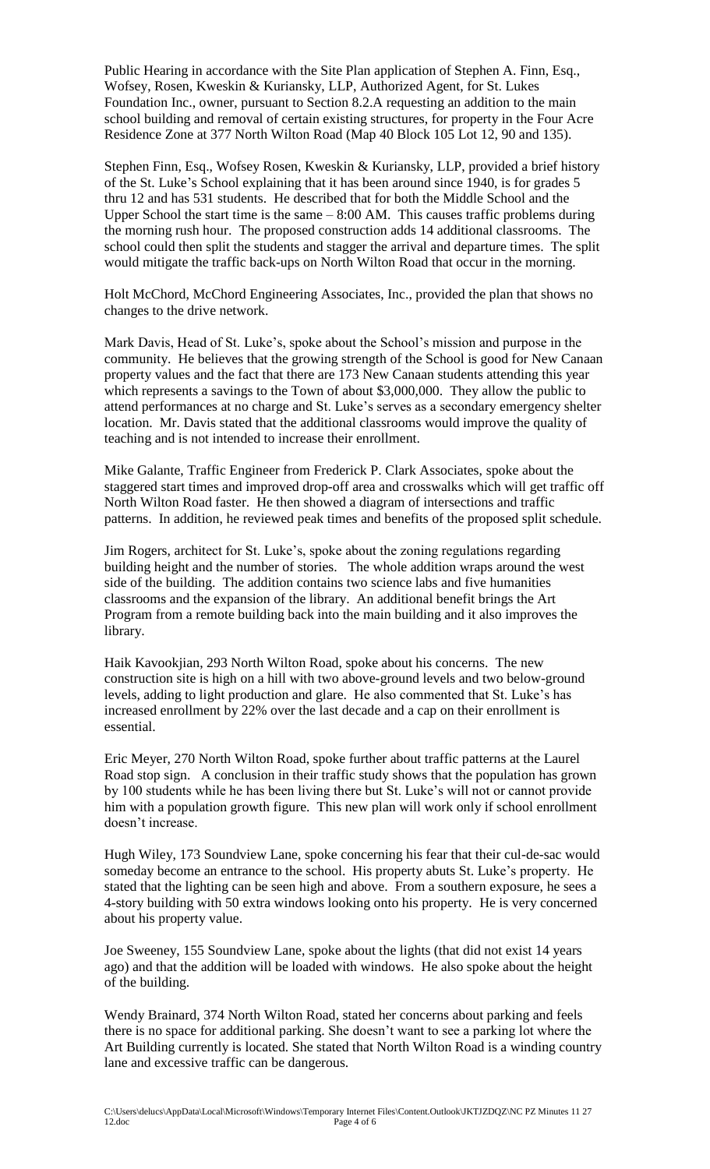Public Hearing in accordance with the Site Plan application of Stephen A. Finn, Esq., Wofsey, Rosen, Kweskin & Kuriansky, LLP, Authorized Agent, for St. Lukes Foundation Inc., owner, pursuant to Section 8.2.A requesting an addition to the main school building and removal of certain existing structures, for property in the Four Acre Residence Zone at 377 North Wilton Road (Map 40 Block 105 Lot 12, 90 and 135).

Stephen Finn, Esq., Wofsey Rosen, Kweskin & Kuriansky, LLP, provided a brief history of the St. Luke's School explaining that it has been around since 1940, is for grades 5 thru 12 and has 531 students. He described that for both the Middle School and the Upper School the start time is the same  $-8:00$  AM. This causes traffic problems during the morning rush hour. The proposed construction adds 14 additional classrooms. The school could then split the students and stagger the arrival and departure times. The split would mitigate the traffic back-ups on North Wilton Road that occur in the morning.

Holt McChord, McChord Engineering Associates, Inc., provided the plan that shows no changes to the drive network.

Mark Davis, Head of St. Luke's, spoke about the School's mission and purpose in the community. He believes that the growing strength of the School is good for New Canaan property values and the fact that there are 173 New Canaan students attending this year which represents a savings to the Town of about \$3,000,000. They allow the public to attend performances at no charge and St. Luke's serves as a secondary emergency shelter location. Mr. Davis stated that the additional classrooms would improve the quality of teaching and is not intended to increase their enrollment.

Mike Galante, Traffic Engineer from Frederick P. Clark Associates, spoke about the staggered start times and improved drop-off area and crosswalks which will get traffic off North Wilton Road faster. He then showed a diagram of intersections and traffic patterns. In addition, he reviewed peak times and benefits of the proposed split schedule.

Jim Rogers, architect for St. Luke's, spoke about the zoning regulations regarding building height and the number of stories. The whole addition wraps around the west side of the building. The addition contains two science labs and five humanities classrooms and the expansion of the library. An additional benefit brings the Art Program from a remote building back into the main building and it also improves the library.

Haik Kavookjian, 293 North Wilton Road, spoke about his concerns. The new construction site is high on a hill with two above-ground levels and two below-ground levels, adding to light production and glare. He also commented that St. Luke's has increased enrollment by 22% over the last decade and a cap on their enrollment is essential.

Eric Meyer, 270 North Wilton Road, spoke further about traffic patterns at the Laurel Road stop sign. A conclusion in their traffic study shows that the population has grown by 100 students while he has been living there but St. Luke's will not or cannot provide him with a population growth figure. This new plan will work only if school enrollment doesn't increase.

Hugh Wiley, 173 Soundview Lane, spoke concerning his fear that their cul-de-sac would someday become an entrance to the school. His property abuts St. Luke's property. He stated that the lighting can be seen high and above. From a southern exposure, he sees a 4-story building with 50 extra windows looking onto his property. He is very concerned about his property value.

Joe Sweeney, 155 Soundview Lane, spoke about the lights (that did not exist 14 years ago) and that the addition will be loaded with windows. He also spoke about the height of the building.

Wendy Brainard, 374 North Wilton Road, stated her concerns about parking and feels there is no space for additional parking. She doesn't want to see a parking lot where the Art Building currently is located. She stated that North Wilton Road is a winding country lane and excessive traffic can be dangerous.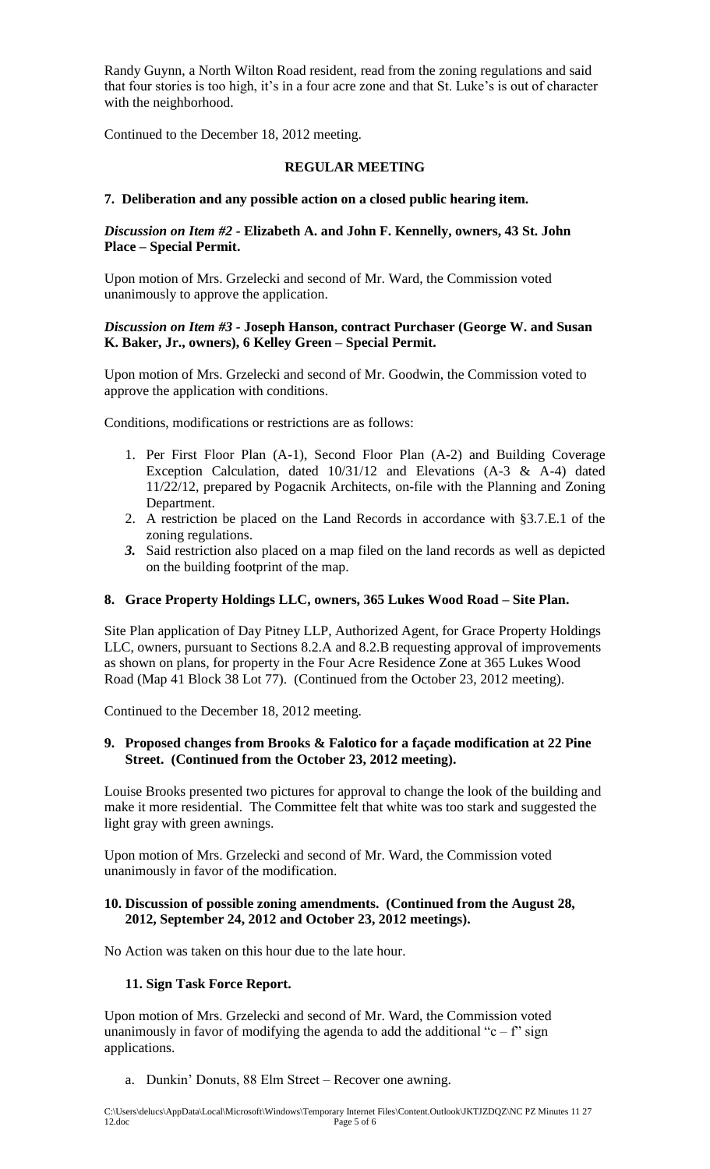Randy Guynn, a North Wilton Road resident, read from the zoning regulations and said that four stories is too high, it's in a four acre zone and that St. Luke's is out of character with the neighborhood.

Continued to the December 18, 2012 meeting.

# **REGULAR MEETING**

## **7. Deliberation and any possible action on a closed public hearing item.**

## *Discussion on Item #2 -* **Elizabeth A. and John F. Kennelly, owners, 43 St. John Place – Special Permit.**

Upon motion of Mrs. Grzelecki and second of Mr. Ward, the Commission voted unanimously to approve the application.

## *Discussion on Item #3 -* **Joseph Hanson, contract Purchaser (George W. and Susan K. Baker, Jr., owners), 6 Kelley Green – Special Permit.**

Upon motion of Mrs. Grzelecki and second of Mr. Goodwin, the Commission voted to approve the application with conditions.

Conditions, modifications or restrictions are as follows:

- 1. Per First Floor Plan (A-1), Second Floor Plan (A-2) and Building Coverage Exception Calculation, dated 10/31/12 and Elevations (A-3 & A-4) dated 11/22/12, prepared by Pogacnik Architects, on-file with the Planning and Zoning Department.
- 2. A restriction be placed on the Land Records in accordance with §3.7.E.1 of the zoning regulations.
- *3.* Said restriction also placed on a map filed on the land records as well as depicted on the building footprint of the map.

## **8. Grace Property Holdings LLC, owners, 365 Lukes Wood Road – Site Plan.**

Site Plan application of Day Pitney LLP, Authorized Agent, for Grace Property Holdings LLC, owners, pursuant to Sections 8.2.A and 8.2.B requesting approval of improvements as shown on plans, for property in the Four Acre Residence Zone at 365 Lukes Wood Road (Map 41 Block 38 Lot 77). (Continued from the October 23, 2012 meeting).

Continued to the December 18, 2012 meeting.

### **9. Proposed changes from Brooks & Falotico for a façade modification at 22 Pine Street. (Continued from the October 23, 2012 meeting).**

Louise Brooks presented two pictures for approval to change the look of the building and make it more residential. The Committee felt that white was too stark and suggested the light gray with green awnings.

Upon motion of Mrs. Grzelecki and second of Mr. Ward, the Commission voted unanimously in favor of the modification.

## **10. Discussion of possible zoning amendments. (Continued from the August 28, 2012, September 24, 2012 and October 23, 2012 meetings).**

No Action was taken on this hour due to the late hour.

## **11. Sign Task Force Report.**

Upon motion of Mrs. Grzelecki and second of Mr. Ward, the Commission voted unanimously in favor of modifying the agenda to add the additional "c – f" sign applications.

a. Dunkin' Donuts, 88 Elm Street – Recover one awning.